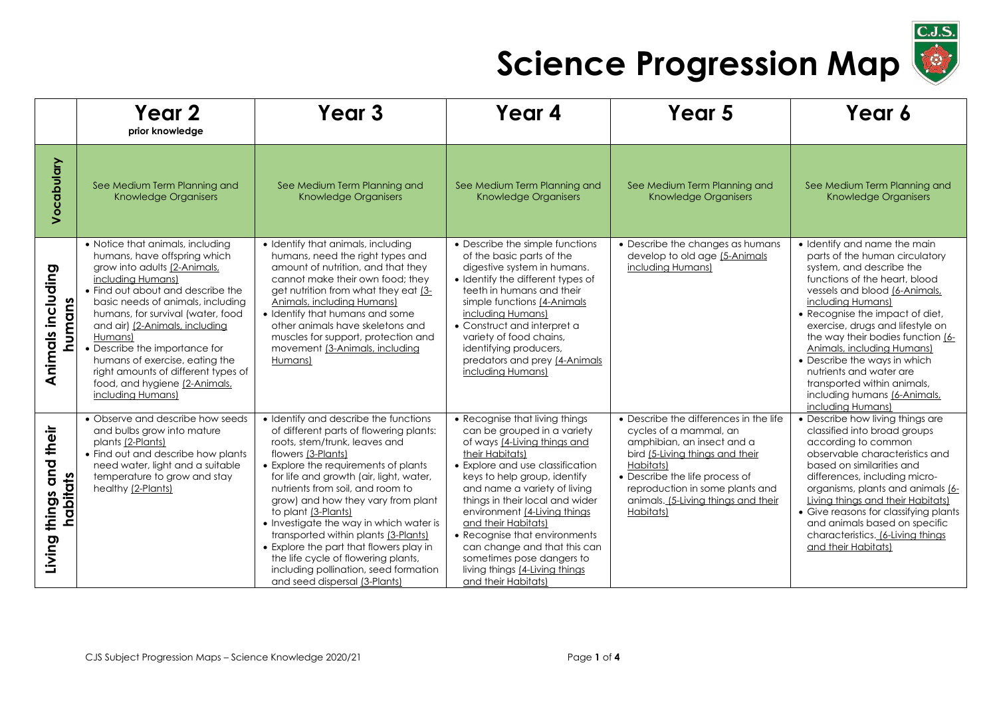

|                                           | Year 2<br>prior knowledge                                                                                                                                                                                                                                                                                                                                                                                                                       | Year <sub>3</sub>                                                                                                                                                                                                                                                                                                                                                                                                                                                                                                                                                          | Year 4                                                                                                                                                                                                                                                                                                                                                                                                                                                                | Year 5                                                                                                                                                                                                                                                                  | Year 6                                                                                                                                                                                                                                                                                                                                                                                                                                                                            |
|-------------------------------------------|-------------------------------------------------------------------------------------------------------------------------------------------------------------------------------------------------------------------------------------------------------------------------------------------------------------------------------------------------------------------------------------------------------------------------------------------------|----------------------------------------------------------------------------------------------------------------------------------------------------------------------------------------------------------------------------------------------------------------------------------------------------------------------------------------------------------------------------------------------------------------------------------------------------------------------------------------------------------------------------------------------------------------------------|-----------------------------------------------------------------------------------------------------------------------------------------------------------------------------------------------------------------------------------------------------------------------------------------------------------------------------------------------------------------------------------------------------------------------------------------------------------------------|-------------------------------------------------------------------------------------------------------------------------------------------------------------------------------------------------------------------------------------------------------------------------|-----------------------------------------------------------------------------------------------------------------------------------------------------------------------------------------------------------------------------------------------------------------------------------------------------------------------------------------------------------------------------------------------------------------------------------------------------------------------------------|
| Vocabulary                                | See Medium Term Planning and<br>Knowledge Organisers                                                                                                                                                                                                                                                                                                                                                                                            | See Medium Term Planning and<br>Knowledge Organisers                                                                                                                                                                                                                                                                                                                                                                                                                                                                                                                       | See Medium Term Planning and<br><b>Knowledge Organisers</b>                                                                                                                                                                                                                                                                                                                                                                                                           | See Medium Term Planning and<br>Knowledge Organisers                                                                                                                                                                                                                    | See Medium Term Planning and<br><b>Knowledge Organisers</b>                                                                                                                                                                                                                                                                                                                                                                                                                       |
| Animals including<br>humans               | • Notice that animals, including<br>humans, have offspring which<br>grow into adults (2-Animals,<br>including Humans)<br>• Find out about and describe the<br>basic needs of animals, including<br>humans, for survival (water, food<br>and air) (2-Animals, including<br>Humans)<br>Describe the importance for<br>humans of exercise, eating the<br>right amounts of different types of<br>food, and hygiene (2-Animals,<br>including Humans) | • Identify that animals, including<br>humans, need the right types and<br>amount of nutrition, and that they<br>cannot make their own food; they<br>get nutrition from what they eat (3-<br>Animals, including Humans)<br>• Identify that humans and some<br>other animals have skeletons and<br>muscles for support, protection and<br>movement (3-Animals, including<br>Humans)                                                                                                                                                                                          | • Describe the simple functions<br>of the basic parts of the<br>digestive system in humans.<br>• Identify the different types of<br>teeth in humans and their<br>simple functions (4-Animals<br>including Humans)<br>• Construct and interpret a<br>variety of food chains,<br>identifying producers,<br>predators and prey [4-Animals<br>including Humans)                                                                                                           | • Describe the changes as humans<br>develop to old age [5-Animals<br>including Humans)                                                                                                                                                                                  | • Identify and name the main<br>parts of the human circulatory<br>system, and describe the<br>functions of the heart, blood<br>vessels and blood (6-Animals,<br>including Humans)<br>• Recognise the impact of diet,<br>exercise, drugs and lifestyle on<br>the way their bodies function (6-<br><b>Animals, including Humans)</b><br>• Describe the ways in which<br>nutrients and water are<br>transported within animals,<br>including humans (6-Animals,<br>including Humans) |
| and their<br>habitats<br>things<br>Living | • Observe and describe how seeds<br>and bulbs grow into mature<br>plants (2-Plants)<br>• Find out and describe how plants<br>need water, light and a suitable<br>temperature to grow and stay<br>healthy (2-Plants)                                                                                                                                                                                                                             | • Identify and describe the functions<br>of different parts of flowering plants:<br>roots, stem/trunk, leaves and<br>flowers (3-Plants)<br>• Explore the requirements of plants<br>for life and growth (air, light, water,<br>nutrients from soil, and room to<br>grow) and how they vary from plant<br>to plant (3-Plants)<br>• Investigate the way in which water is<br>transported within plants (3-Plants)<br>• Explore the part that flowers play in<br>the life cycle of flowering plants,<br>including pollination, seed formation<br>and seed dispersal (3-Plants) | • Recognise that living things<br>can be grouped in a variety<br>of ways (4-Living things and<br>their Habitats)<br>• Explore and use classification<br>keys to help group, identify<br>and name a variety of living<br>things in their local and wider<br>environment (4-Living things<br>and their Habitats)<br>• Recognise that environments<br>can change and that this can<br>sometimes pose dangers to<br>living things (4-Living things<br>and their Habitats) | • Describe the differences in the life<br>cycles of a mammal, an<br>amphibian, an insect and a<br>bird (5-Living things and their<br>Habitats)<br>• Describe the life process of<br>reproduction in some plants and<br>animals. (5-Living things and their<br>Habitats) | • Describe how living things are<br>classified into broad groups<br>according to common<br>observable characteristics and<br>based on similarities and<br>differences, including micro-<br>organisms, plants and animals (6-<br>Living things and their Habitats)<br>• Give reasons for classifying plants<br>and animals based on specific<br>characteristics. (6-Living things<br>and their Habitats)                                                                           |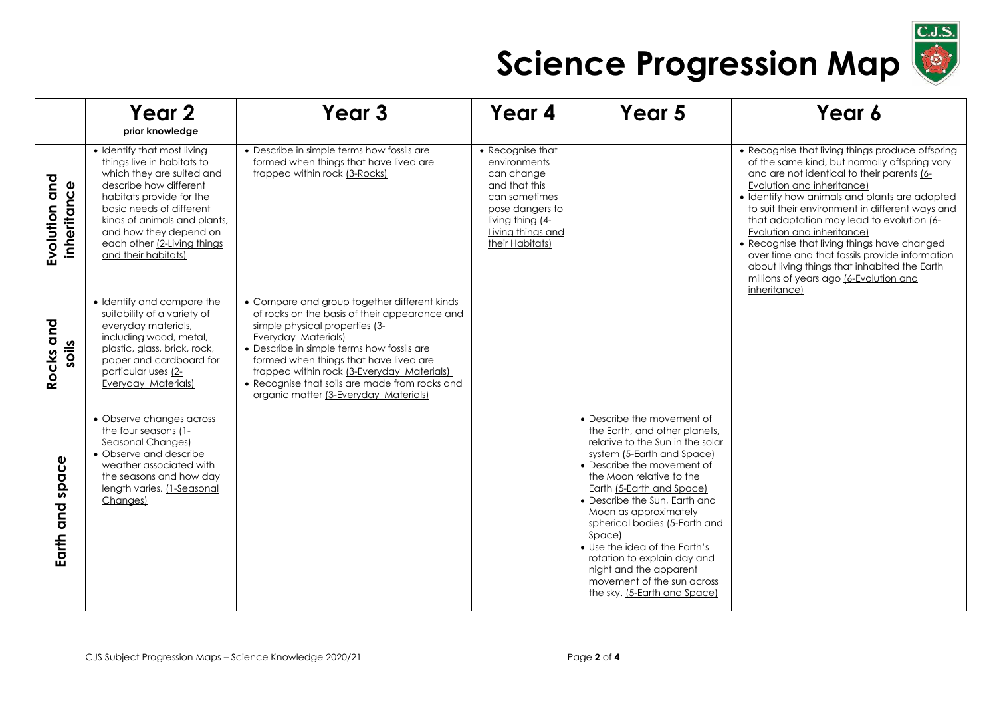

|                              | Year 2<br>prior knowledge                                                                                                                                                                                                                                                                | Year <sub>3</sub>                                                                                                                                                                                                                                                                                                                                                                              | Year 4                                                                                                                                                          | Year 5                                                                                                                                                                                                                                                                                                                                                                                                                                                                            | Year 6                                                                                                                                                                                                                                                                                                                                                                                                                                                                                                                                                                         |
|------------------------------|------------------------------------------------------------------------------------------------------------------------------------------------------------------------------------------------------------------------------------------------------------------------------------------|------------------------------------------------------------------------------------------------------------------------------------------------------------------------------------------------------------------------------------------------------------------------------------------------------------------------------------------------------------------------------------------------|-----------------------------------------------------------------------------------------------------------------------------------------------------------------|-----------------------------------------------------------------------------------------------------------------------------------------------------------------------------------------------------------------------------------------------------------------------------------------------------------------------------------------------------------------------------------------------------------------------------------------------------------------------------------|--------------------------------------------------------------------------------------------------------------------------------------------------------------------------------------------------------------------------------------------------------------------------------------------------------------------------------------------------------------------------------------------------------------------------------------------------------------------------------------------------------------------------------------------------------------------------------|
| Evolution and<br>inheritance | • Identify that most living<br>things live in habitats to<br>which they are suited and<br>describe how different<br>habitats provide for the<br>basic needs of different<br>kinds of animals and plants,<br>and how they depend on<br>each other (2-Living things<br>and their habitats) | • Describe in simple terms how fossils are<br>formed when things that have lived are<br>trapped within rock (3-Rocks)                                                                                                                                                                                                                                                                          | • Recognise that<br>environments<br>can change<br>and that this<br>can sometimes<br>pose dangers to<br>living thing [4-<br>Living things and<br>their Habitats) |                                                                                                                                                                                                                                                                                                                                                                                                                                                                                   | • Recognise that living things produce offspring<br>of the same kind, but normally offspring vary<br>and are not identical to their parents [6-<br>Evolution and inheritance)<br>• Identify how animals and plants are adapted<br>to suit their environment in different ways and<br>that adaptation may lead to evolution [6-<br>Evolution and inheritance)<br>• Recognise that living things have changed<br>over time and that fossils provide information<br>about living things that inhabited the Earth<br>millions of years ago <i>[6-Evolution and</i><br>inheritance) |
| Rocks and<br>soils           | • Identify and compare the<br>suitability of a variety of<br>everyday materials,<br>including wood, metal,<br>plastic, glass, brick, rock,<br>paper and cardboard for<br>particular uses (2-<br>Everyday Materials)                                                                      | • Compare and group together different kinds<br>of rocks on the basis of their appearance and<br>simple physical properties (3-<br><b>Everyday Materials)</b><br>• Describe in simple terms how fossils are<br>formed when things that have lived are<br>trapped within rock (3-Everyday Materials)<br>• Recognise that soils are made from rocks and<br>organic matter (3-Everyday Materials) |                                                                                                                                                                 |                                                                                                                                                                                                                                                                                                                                                                                                                                                                                   |                                                                                                                                                                                                                                                                                                                                                                                                                                                                                                                                                                                |
| space<br>Earth and           | • Observe changes across<br>the four seasons (1-<br>Seasonal Changes)<br>• Observe and describe<br>weather associated with<br>the seasons and how day<br>length varies. [1-Seasonal<br>Changes)                                                                                          |                                                                                                                                                                                                                                                                                                                                                                                                |                                                                                                                                                                 | • Describe the movement of<br>the Earth, and other planets,<br>relative to the Sun in the solar<br>system (5-Earth and Space)<br>• Describe the movement of<br>the Moon relative to the<br>Earth (5-Earth and Space)<br>• Describe the Sun, Earth and<br>Moon as approximately<br>spherical bodies (5-Earth and<br>Space)<br>• Use the idea of the Earth's<br>rotation to explain day and<br>night and the apparent<br>movement of the sun across<br>the sky. (5-Earth and Space) |                                                                                                                                                                                                                                                                                                                                                                                                                                                                                                                                                                                |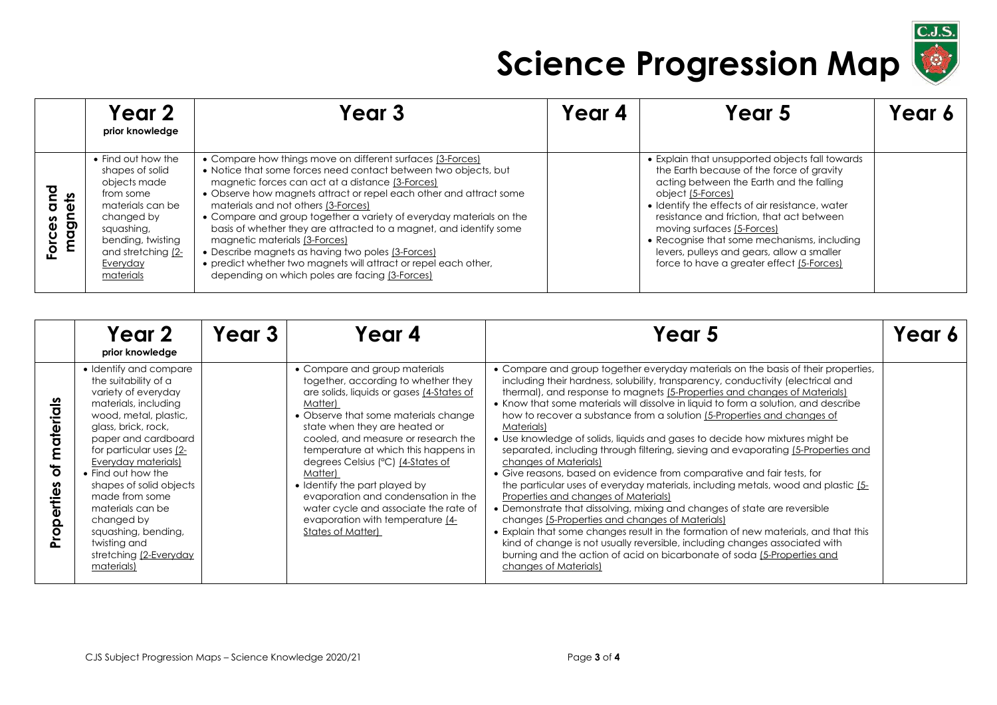

|                               | Year 2<br>prior knowledge                                                                                                                                                              | Year 3                                                                                                                                                                                                                                                                                                                                                                                                                                                                                                                                                                                                                                                 | Year 4 | Year 5                                                                                                                                                                                                                                                                                                                                                                                                                                | Year 6 |
|-------------------------------|----------------------------------------------------------------------------------------------------------------------------------------------------------------------------------------|--------------------------------------------------------------------------------------------------------------------------------------------------------------------------------------------------------------------------------------------------------------------------------------------------------------------------------------------------------------------------------------------------------------------------------------------------------------------------------------------------------------------------------------------------------------------------------------------------------------------------------------------------------|--------|---------------------------------------------------------------------------------------------------------------------------------------------------------------------------------------------------------------------------------------------------------------------------------------------------------------------------------------------------------------------------------------------------------------------------------------|--------|
| ℧<br>ets<br>magn<br>စိ<br>orc | • Find out how the<br>shapes of solid<br>objects made<br>from some<br>materials can be<br>changed by<br>squashing,<br>bending, twisting<br>and stretching (2-<br>Everyday<br>materials | • Compare how things move on different surfaces (3-Forces)<br>• Notice that some forces need contact between two objects, but<br>magnetic forces can act at a distance (3-Forces)<br>• Observe how magnets attract or repel each other and attract some<br>materials and not others (3-Forces)<br>• Compare and group together a variety of everyday materials on the<br>basis of whether they are attracted to a magnet, and identify some<br>magnetic materials (3-Forces)<br>• Describe magnets as having two poles (3-Forces)<br>• predict whether two magnets will attract or repel each other,<br>depending on which poles are facing (3-Forces) |        | • Explain that unsupported objects fall towards<br>the Earth because of the force of gravity<br>acting between the Earth and the falling<br>object (5-Forces)<br>• Identify the effects of air resistance, water<br>resistance and friction, that act between<br>moving surfaces (5-Forces)<br>• Recognise that some mechanisms, including<br>levers, pulleys and gears, allow a smaller<br>force to have a greater effect (5-Forces) |        |

|                              | Year 2<br>prior knowledge                                                                                                                                                                                                                                                                                                                                                                                  | Year 3 | Year 4                                                                                                                                                                                                                                                                                                                                                                                                                                                                                                         | Year 5                                                                                                                                                                                                                                                                                                                                                                                                                                                                                                                                                                                                                                                                                                                                                                                                                                                                                                                                                                                                                                                                                                                                                                                                                                            | lear) |
|------------------------------|------------------------------------------------------------------------------------------------------------------------------------------------------------------------------------------------------------------------------------------------------------------------------------------------------------------------------------------------------------------------------------------------------------|--------|----------------------------------------------------------------------------------------------------------------------------------------------------------------------------------------------------------------------------------------------------------------------------------------------------------------------------------------------------------------------------------------------------------------------------------------------------------------------------------------------------------------|---------------------------------------------------------------------------------------------------------------------------------------------------------------------------------------------------------------------------------------------------------------------------------------------------------------------------------------------------------------------------------------------------------------------------------------------------------------------------------------------------------------------------------------------------------------------------------------------------------------------------------------------------------------------------------------------------------------------------------------------------------------------------------------------------------------------------------------------------------------------------------------------------------------------------------------------------------------------------------------------------------------------------------------------------------------------------------------------------------------------------------------------------------------------------------------------------------------------------------------------------|-------|
| materials<br>Ⴆ<br>Properties | • Identify and compare<br>the suitability of a<br>variety of everyday<br>materials, including<br>wood, metal, plastic,<br>glass, brick, rock,<br>paper and cardboard<br>for particular uses (2-<br>Everyday materials)<br>• Find out how the<br>shapes of solid objects<br>made from some<br>materials can be<br>changed by<br>squashing, bending,<br>twisting and<br>stretching (2-Everyday<br>materials) |        | • Compare and group materials<br>together, according to whether they<br>are solids, liquids or gases (4-States of<br>Matter)<br>• Observe that some materials change<br>state when they are heated or<br>cooled, and measure or research the<br>temperature at which this happens in<br>degrees Celsius (°C) (4-States of<br>Matter)<br>• Identify the part played by<br>evaporation and condensation in the<br>water cycle and associate the rate of<br>evaporation with temperature [4-<br>States of Matter) | • Compare and group together everyday materials on the basis of their properties,<br>including their hardness, solubility, transparency, conductivity (electrical and<br>thermal), and response to magnets (5-Properties and changes of Materials)<br>• Know that some materials will dissolve in liquid to form a solution, and describe<br>how to recover a substance from a solution (5-Properties and changes of<br>Materials)<br>• Use knowledge of solids, liquids and gases to decide how mixtures might be<br>separated, including through filtering, sieving and evaporating (5-Properties and<br>changes of Materials)<br>• Give reasons, based on evidence from comparative and fair tests, for<br>the particular uses of everyday materials, including metals, wood and plastic (5-<br>Properties and changes of Materials)<br>• Demonstrate that dissolving, mixing and changes of state are reversible<br>changes (5-Properties and changes of Materials)<br>• Explain that some changes result in the formation of new materials, and that this<br>kind of change is not usually reversible, including changes associated with<br>burning and the action of acid on bicarbonate of soda (5-Properties and<br>changes of Materials) |       |